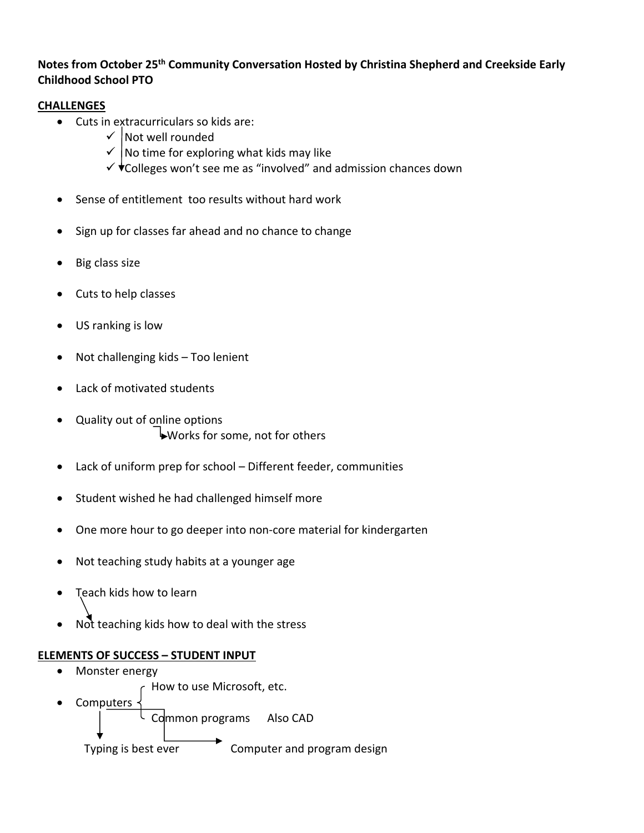## **Notes from October 25th Community Conversation Hosted by Christina Shepherd and Creekside Early Childhood School PTO**

## **CHALLENGES**

- Cuts in extracurriculars so kids are:
	- $\checkmark$  Not well rounded
	- $\checkmark$  No time for exploring what kids may like
	- $\checkmark$   $\checkmark$  Colleges won't see me as "involved" and admission chances down
- Sense of entitlement too results without hard work
- Sign up for classes far ahead and no chance to change
- Big class size
- Cuts to help classes
- US ranking is low
- Not challenging kids Too lenient
- Lack of motivated students
- Quality out of online options Works for some, not for others
- Lack of uniform prep for school Different feeder, communities
- Student wished he had challenged himself more
- One more hour to go deeper into non‐core material for kindergarten
- Not teaching study habits at a younger age
- Teach kids how to learn
- Not teaching kids how to deal with the stress

## **ELEMENTS OF SUCCESS – STUDENT INPUT**

 Monster energy How to use Microsoft, etc.

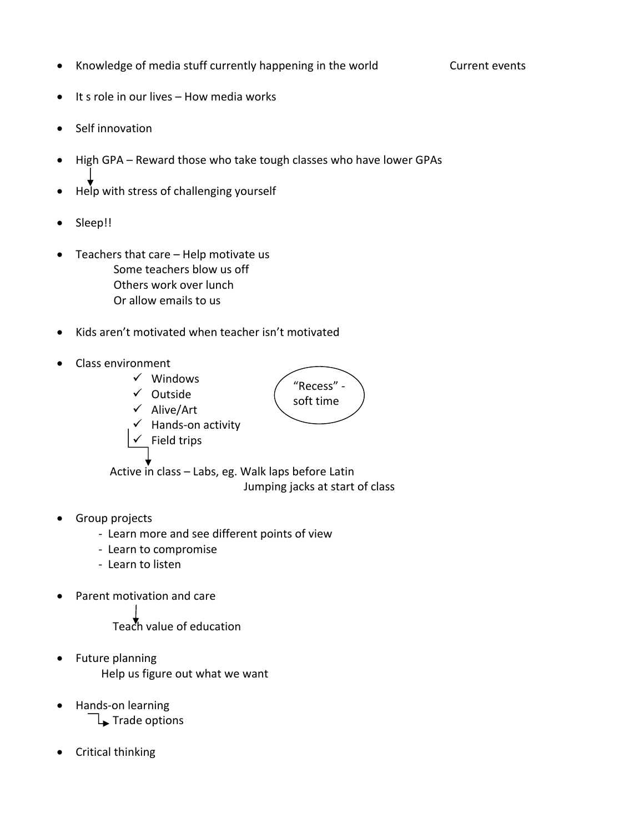• Knowledge of media stuff currently happening in the world Current events

- It s role in our lives How media works
- Self innovation
- High GPA Reward those who take tough classes who have lower GPAs
- Help with stress of challenging yourself
- Sleep!!
- Teachers that care Help motivate us Some teachers blow us off Others work over lunch Or allow emails to us
- Kids aren't motivated when teacher isn't motivated
- Class environment
	- $\checkmark$  Windows
	- $\checkmark$  Outside
	- $\checkmark$  Alive/Art
	- $\checkmark$  Hands-on activity  $\checkmark$  Field trips

"Recess" ‐ soft time

Active in class – Labs, eg. Walk laps before Latin Jumping jacks at start of class

- Group projects
	- ‐ Learn more and see different points of view
	- ‐ Learn to compromise
	- ‐ Learn to listen
- Parent motivation and care

Teach value of education

- Future planning Help us figure out what we want
- Hands‐on learning
	- $\downarrow$  Trade options
- Critical thinking